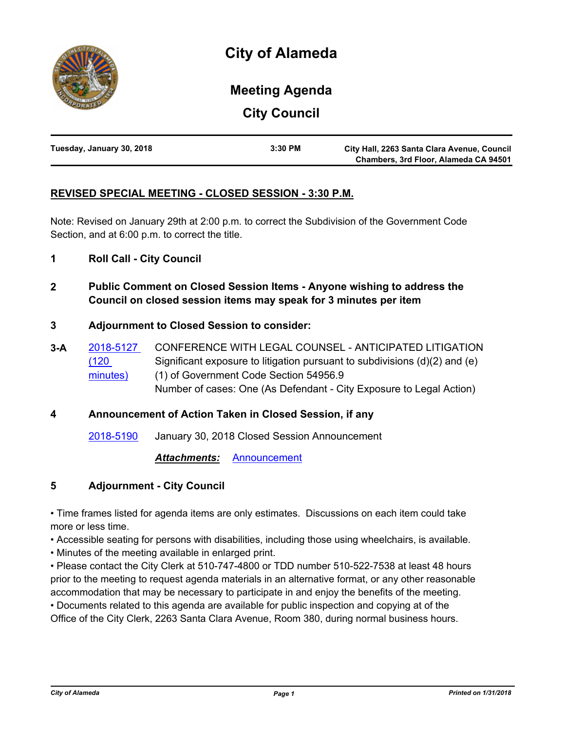

# **Meeting Agenda**

**City Council**

| Tuesday, January 30, 2018 | 3:30 PM | City Hall, 2263 Santa Clara Avenue, Council |
|---------------------------|---------|---------------------------------------------|
|                           |         | Chambers, 3rd Floor, Alameda CA 94501       |

# **REVISED SPECIAL MEETING - CLOSED SESSION - 3:30 P.M.**

Note: Revised on January 29th at 2:00 p.m. to correct the Subdivision of the Government Code Section, and at 6:00 p.m. to correct the title.

- **1 Roll Call City Council**
- **2 Public Comment on Closed Session Items Anyone wishing to address the Council on closed session items may speak for 3 minutes per item**

### **3 Adjournment to Closed Session to consider:**

**3-A** [2018-5127](http://alameda.legistar.com/gateway.aspx?m=l&id=/matter.aspx?key=6828)  (120 minutes) CONFERENCE WITH LEGAL COUNSEL - ANTICIPATED LITIGATION Significant exposure to litigation pursuant to subdivisions (d)(2) and (e) (1) of Government Code Section 54956.9 Number of cases: One (As Defendant - City Exposure to Legal Action)

# **4 Announcement of Action Taken in Closed Session, if any**

[2018-5190](http://alameda.legistar.com/gateway.aspx?m=l&id=/matter.aspx?key=6891) January 30, 2018 Closed Session Announcement

*Attachments:* [Announcement](http://alameda.legistar.com/gateway.aspx?M=F&ID=b1017fbd-936d-48b5-9f8e-a8ff5d22910a.pdf)

# **5 Adjournment - City Council**

• Time frames listed for agenda items are only estimates. Discussions on each item could take more or less time.

• Accessible seating for persons with disabilities, including those using wheelchairs, is available.

• Minutes of the meeting available in enlarged print.

• Please contact the City Clerk at 510-747-4800 or TDD number 510-522-7538 at least 48 hours prior to the meeting to request agenda materials in an alternative format, or any other reasonable accommodation that may be necessary to participate in and enjoy the benefits of the meeting. • Documents related to this agenda are available for public inspection and copying at of the

Office of the City Clerk, 2263 Santa Clara Avenue, Room 380, during normal business hours.